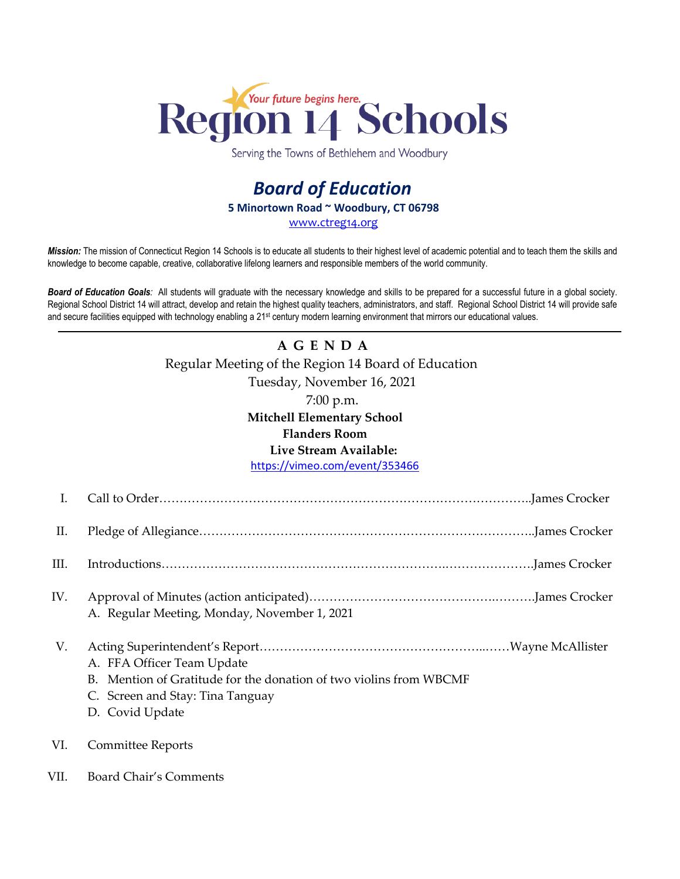

Serving the Towns of Bethlehem and Woodbury

## *Board of Education* **5 Minortown Road ~ Woodbury, CT 06798** [www.ctreg14.org](http://www.ctreg14.org/)

*Mission:* The mission of Connecticut Region 14 Schools is to educate all students to their highest level of academic potential and to teach them the skills and knowledge to become capable, creative, collaborative lifelong learners and responsible members of the world community.

*Board of Education Goals:* All students will graduate with the necessary knowledge and skills to be prepared for a successful future in a global society. Regional School District 14 will attract, develop and retain the highest quality teachers, administrators, and staff. Regional School District 14 will provide safe and secure facilities equipped with technology enabling a 21<sup>st</sup> century modern learning environment that mirrors our educational values.

## **A G E N D A** Regular Meeting of the Region 14 Board of Education Tuesday, November 16, 2021 7:00 p.m. **Mitchell Elementary School Flanders Room Live Stream Available:**

<https://vimeo.com/event/353466>

| I.   |                                                                                                                                                                 |
|------|-----------------------------------------------------------------------------------------------------------------------------------------------------------------|
| П.   |                                                                                                                                                                 |
| III. |                                                                                                                                                                 |
| IV.  | A. Regular Meeting, Monday, November 1, 2021                                                                                                                    |
| V.   | A. FFA Officer Team Update<br>Mention of Gratitude for the donation of two violins from WBCMF<br>$B_{-}$<br>C. Screen and Stay: Tina Tanguay<br>D. Covid Update |
| VI.  | Committee Reports                                                                                                                                               |
| VII. | Board Chair's Comments                                                                                                                                          |